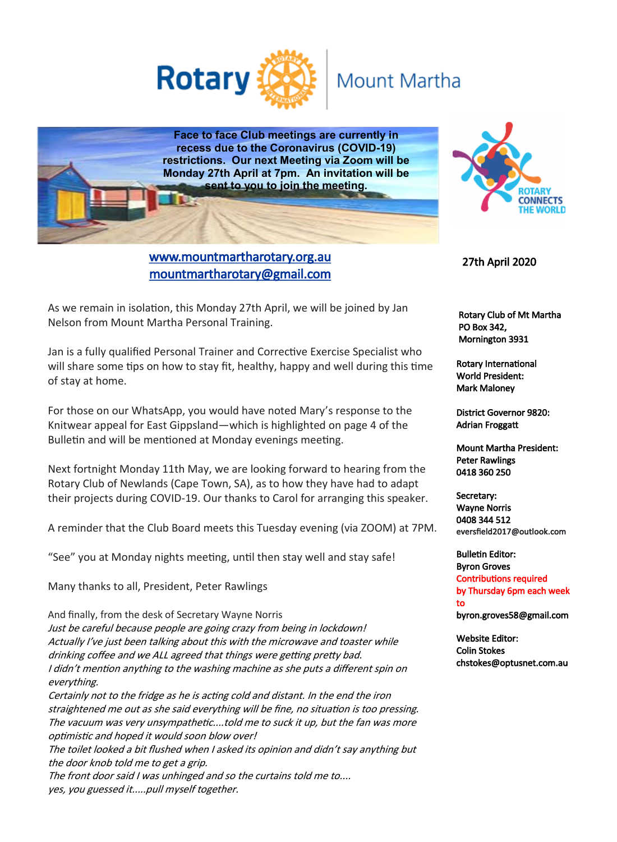

# **Mount Martha**

**Face to face Club meetings are currently in recess due to the Coronavirus (COVID-19) restrictions. Our next Meeting via Zoom will be Monday 27th April at 7pm. An invitation will be sent to you to join the meeting.**



 Rotary Club of Mt Martha PO Box 342, Mornington 3931

27th April 2020

Rotary International World President: Mark Maloney

District Governor 9820: Adrian Froggatt

Mount Martha President: Peter Rawlings 0418 360 250

Secretary: Wayne Norris 0408 344 512 eversfield2017@outlook.com

Bulletin Editor: Byron Groves Contributions required by Thursday 6pm each week to byron.groves58@gmail.com

Website Editor: Colin Stokes chstokes@optusnet.com.au

As we remain in isolation, this Monday 27th April, we will be joined by Jan Nelson from Mount Martha Personal Training.

Jan is a fully qualified Personal Trainer and Corrective Exercise Specialist who will share some tips on how to stay fit, healthy, happy and well during this time of stay at home.

For those on our WhatsApp, you would have noted Mary's response to the Knitwear appeal for East Gippsland—which is highlighted on page 4 of the Bulletin and will be mentioned at Monday evenings meeting.

Next fortnight Monday 11th May, we are looking forward to hearing from the Rotary Club of Newlands (Cape Town, SA), as to how they have had to adapt their projects during COVID-19. Our thanks to Carol for arranging this speaker.

A reminder that the Club Board meets this Tuesday evening (via ZOOM) at 7PM.

"See" you at Monday nights meeting, until then stay well and stay safe!

Many thanks to all, President, Peter Rawlings

And finally, from the desk of Secretary Wayne Norris Just be careful because people are going crazy from being in lockdown! Actually I've just been talking about this with the microwave and toaster while drinking coffee and we ALL agreed that things were getting pretty bad. I didn't mention anything to the washing machine as she puts a different spin on everything. Certainly not to the fridge as he is acting cold and distant. In the end the iron straightened me out as she said everything will be fine, no situation is too pressing. The vacuum was very unsympathetic....told me to suck it up, but the fan was more optimistic and hoped it would soon blow over! The toilet looked a bit flushed when I asked its opinion and didn't say anything but the door knob told me to get a grip. The front door said I was unhinged and so the curtains told me to....

yes, you guessed it.....pull myself together.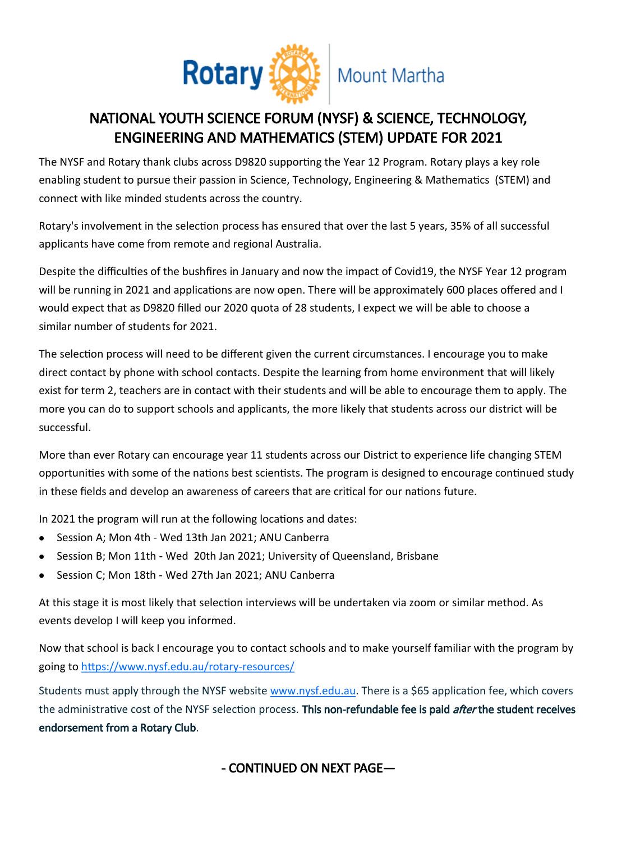

### NATIONAL YOUTH SCIENCE FORUM (NYSF) & SCIENCE, TECHNOLOGY, ENGINEERING AND MATHEMATICS (STEM) UPDATE FOR 2021

The NYSF and Rotary thank clubs across D9820 supporting the Year 12 Program. Rotary plays a key role enabling student to pursue their passion in Science, Technology, Engineering & Mathematics (STEM) and connect with like minded students across the country.

Rotary's involvement in the selection process has ensured that over the last 5 years, 35% of all successful applicants have come from remote and regional Australia.

Despite the difficulties of the bushfires in January and now the impact of Covid19, the NYSF Year 12 program will be running in 2021 and applications are now open. There will be approximately 600 places offered and I would expect that as D9820 filled our 2020 quota of 28 students, I expect we will be able to choose a similar number of students for 2021.

The selection process will need to be different given the current circumstances. I encourage you to make direct contact by phone with school contacts. Despite the learning from home environment that will likely exist for term 2, teachers are in contact with their students and will be able to encourage them to apply. The more you can do to support schools and applicants, the more likely that students across our district will be successful.

More than ever Rotary can encourage year 11 students across our District to experience life changing STEM opportunities with some of the nations best scientists. The program is designed to encourage continued study in these fields and develop an awareness of careers that are critical for our nations future.

In 2021 the program will run at the following locations and dates:

- Session A; Mon 4th Wed 13th Jan 2021; ANU Canberra  $\bullet$
- Session B; Mon 11th Wed 20th Jan 2021; University of Queensland, Brisbane
- Session C; Mon 18th Wed 27th Jan 2021; ANU Canberra

At this stage it is most likely that selection interviews will be undertaken via zoom or similar method. As events develop I will keep you informed.

Now that school is back I encourage you to contact schools and to make yourself familiar with the program by going to [https://www.nysf.edu.au/rotary](https://nationalyouthscienceforum.cmail20.com/t/j-i-qlhyhkt-l-y/)-resources/

Students must apply through the NYSF website [www.nysf.edu.au.](http://www.nysf.edu.au/) There is a \$65 application fee, which covers the administrative cost of the NYSF selection process. This non-refundable fee is paid *after* the student receives endorsement from a Rotary Club.

- CONTINUED ON NEXT PAGE—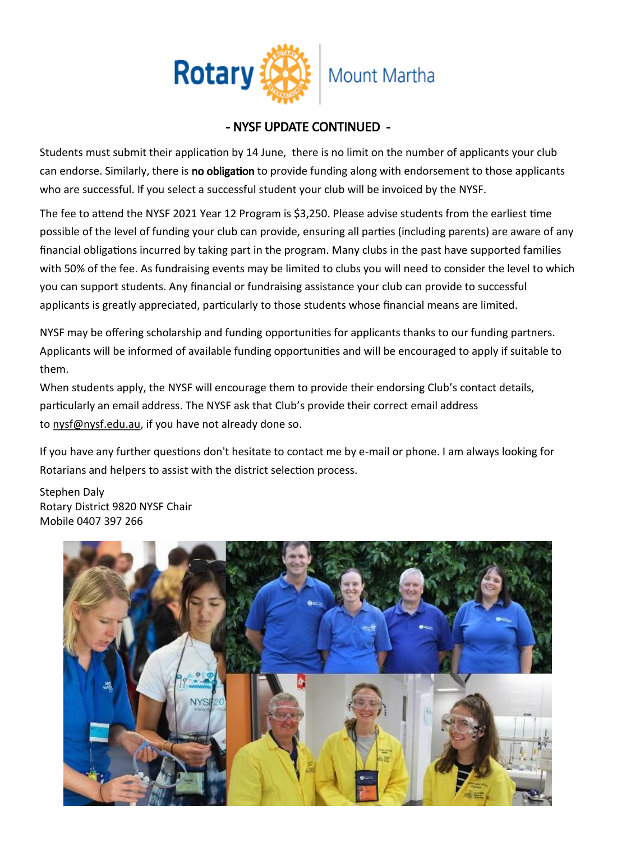

### - NYSF UPDATE CONTINUED -

Students must submit their application by 14 June, there is no limit on the number of applicants your club can endorse. Similarly, there is no obligation to provide funding along with endorsement to those applicants who are successful. If you select a successful student your club will be invoiced by the NYSF.

The fee to attend the NYSF 2021 Year 12 Program is \$3,250. Please advise students from the earliest time possible of the level of funding your club can provide, ensuring all parties (including parents) are aware of any financial obligations incurred by taking part in the program. Many clubs in the past have supported families with 50% of the fee. As fundraising events may be limited to clubs you will need to consider the level to which you can support students. Any financial or fundraising assistance your club can provide to successful applicants is greatly appreciated, particularly to those students whose financial means are limited.

NYSF may be offering scholarship and funding opportunities for applicants thanks to our funding partners. Applicants will be informed of available funding opportunities and will be encouraged to apply if suitable to them.

When students apply, the NYSF will encourage them to provide their endorsing Club's contact details, particularly an email address. The NYSF ask that Club's provide their correct email address to [nysf@nysf.edu.au,](mailto:nysf@nysf.edu.au) if you have not already done so.

If you have any further questions don't hesitate to contact me by e-mail or phone. I am always looking for Rotarians and helpers to assist with the district selection process.

Stephen Daly Rotary District 9820 NYSF Chair Mobile 0407 397 266

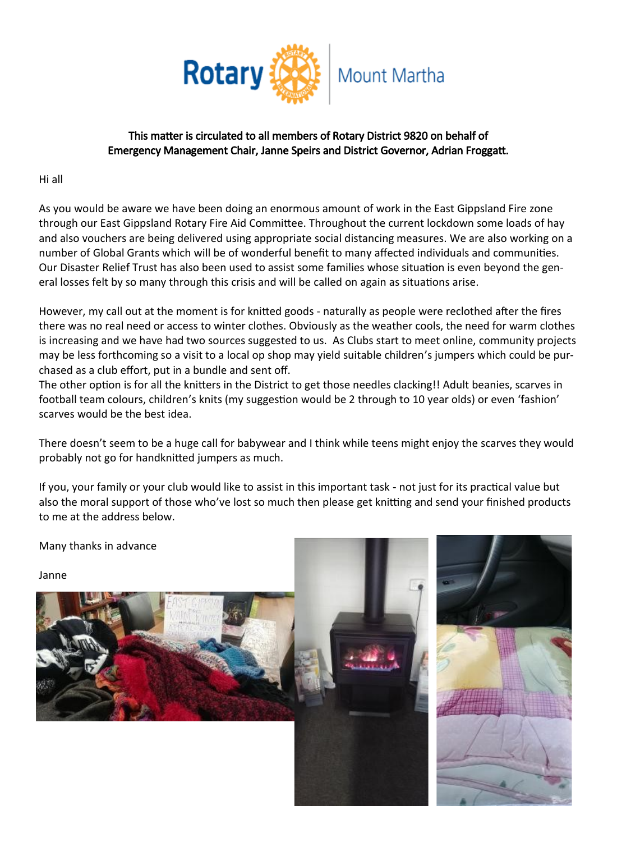

#### This matter is circulated to all members of Rotary District 9820 on behalf of Emergency Management Chair, Janne Speirs and District Governor, Adrian Froggatt.

Hi all

As you would be aware we have been doing an enormous amount of work in the East Gippsland Fire zone through our East Gippsland Rotary Fire Aid Committee. Throughout the current lockdown some loads of hay and also vouchers are being delivered using appropriate social distancing measures. We are also working on a number of Global Grants which will be of wonderful benefit to many affected individuals and communities. Our Disaster Relief Trust has also been used to assist some families whose situation is even beyond the general losses felt by so many through this crisis and will be called on again as situations arise.

However, my call out at the moment is for knitted goods - naturally as people were reclothed after the fires there was no real need or access to winter clothes. Obviously as the weather cools, the need for warm clothes is increasing and we have had two sources suggested to us. As Clubs start to meet online, community projects may be less forthcoming so a visit to a local op shop may yield suitable children's jumpers which could be purchased as a club effort, put in a bundle and sent off.

The other option is for all the knitters in the District to get those needles clacking!! Adult beanies, scarves in football team colours, children's knits (my suggestion would be 2 through to 10 year olds) or even 'fashion' scarves would be the best idea.

There doesn't seem to be a huge call for babywear and I think while teens might enjoy the scarves they would probably not go for handknitted jumpers as much.

If you, your family or your club would like to assist in this important task - not just for its practical value but also the moral support of those who've lost so much then please get knitting and send your finished products to me at the address below.

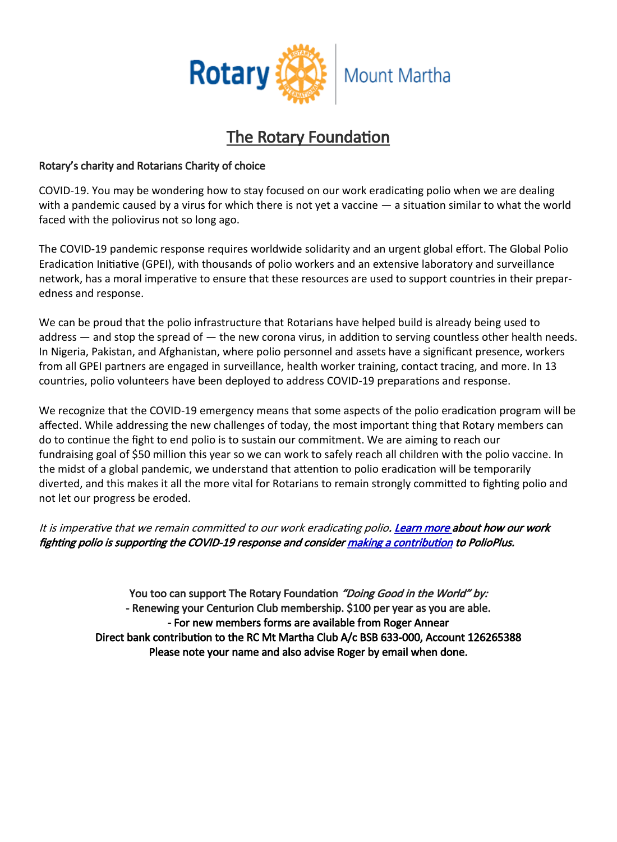

## The Rotary Foundation

#### Rotary's charity and Rotarians Charity of choice

COVID-19. You may be wondering how to stay focused on our work eradicating polio when we are dealing with a pandemic caused by a virus for which there is not yet a vaccine — a situation similar to what the world faced with the poliovirus not so long ago.

The COVID-19 pandemic response requires worldwide solidarity and an urgent global effort. The Global Polio Eradication Initiative (GPEI), with thousands of polio workers and an extensive laboratory and surveillance network, has a moral imperative to ensure that these resources are used to support countries in their preparedness and response.

We can be proud that the polio infrastructure that Rotarians have helped build is already being used to address — and stop the spread of — the new corona virus, in addition to serving countless other health needs. In Nigeria, Pakistan, and Afghanistan, where polio personnel and assets have a significant presence, workers from all GPEI partners are engaged in surveillance, health worker training, contact tracing, and more. In 13 countries, polio volunteers have been deployed to address COVID-19 preparations and response.

We recognize that the COVID-19 emergency means that some aspects of the polio eradication program will be affected. While addressing the new challenges of today, the most important thing that Rotary members can do to continue the fight to end polio is to sustain our commitment. We are aiming to reach our fundraising goal of \$50 million this year so we can work to safely reach all children with the polio vaccine. In the midst of a global pandemic, we understand that attention to polio eradication will be temporarily diverted, and this makes it all the more vital for Rotarians to remain strongly committed to fighting polio and not let our progress be eroded.

It is imperative that we remain committed to our work eradicating polio. [Learn more](https://www.endpolio.org/polio-eradication-staff-support-covid-19-response) about how our work fighting polio is supporting the COVID-19 response and consider [making a contribution](https://www.endpolio.org/donate) to PolioPlus.

> You too can support The Rotary Foundation "Doing Good in the World" by: - Renewing your Centurion Club membership. \$100 per year as you are able. - For new members forms are available from Roger Annear Direct bank contribution to the RC Mt Martha Club A/c BSB 633-000, Account 126265388 Please note your name and also advise Roger by email when done.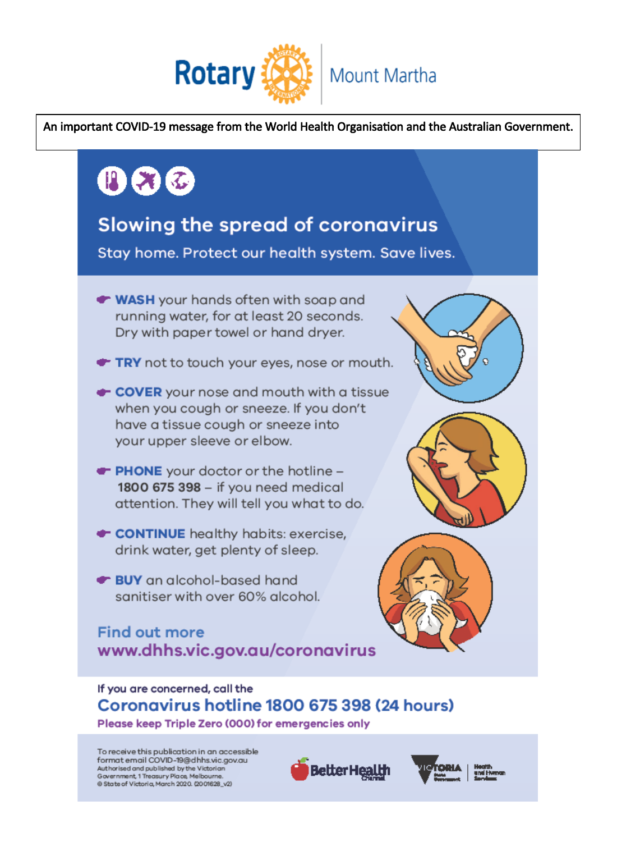

An important COVID-19 message from the World Health Organisation and the Australian Government.



To receive this publication in an accessible format email COVID-19@dhhs.vic.gov.au Authorised and published by the Victorian Government, 1 Treasury Place, Melbourne.<br>© State of Victoria, March 2020. (2001628\_v2)